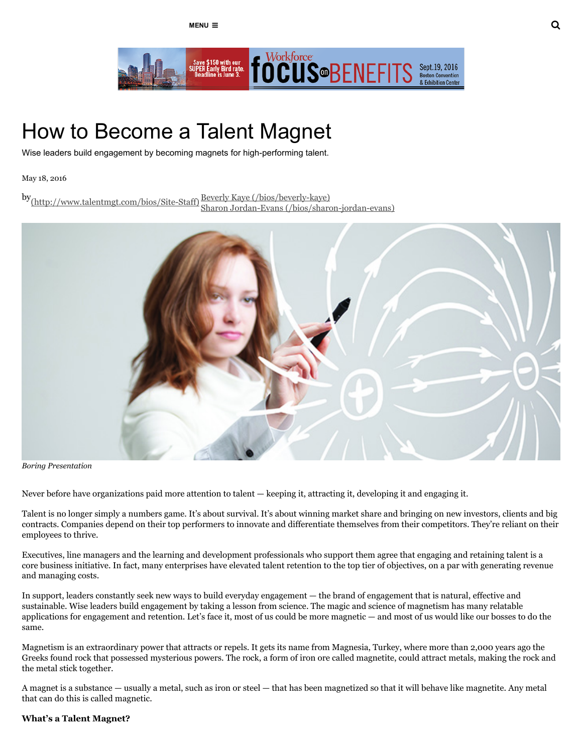

# How to Become a Talent Magnet

Wise leaders build engagement by becoming magnets for high-performing talent.

#### May 18, 2016

by<sub>(http://www.talentmgt.com/bios/Site-Staff)</sub><sup>]</sup> Beverly Kaye (/bios/beverly-kaye) Sharon Jordan-Evans (/bios/sharon-jordan-evans)



Boring Presentation

Never before have organizations paid more attention to talent — keeping it, attracting it, developing it and engaging it.

Talent is no longer simply a numbers game. It's about survival. It's about winning market share and bringing on new investors, clients and big contracts. Companies depend on their top performers to innovate and differentiate themselves from their competitors. They're reliant on their employees to thrive.

Executives, line managers and the learning and development professionals who support them agree that engaging and retaining talent is a core business initiative. In fact, many enterprises have elevated talent retention to the top tier of objectives, on a par with generating revenue and managing costs.

In support, leaders constantly seek new ways to build everyday engagement — the brand of engagement that is natural, effective and sustainable. Wise leaders build engagement by taking a lesson from science. The magic and science of magnetism has many relatable applications for engagement and retention. Let's face it, most of us could be more magnetic — and most of us would like our bosses to do the same.

Magnetism is an extraordinary power that attracts or repels. It gets its name from Magnesia, Turkey, where more than 2,000 years ago the Greeks found rock that possessed mysterious powers. The rock, a form of iron ore called magnetite, could attract metals, making the rock and the metal stick together.

A magnet is a substance — usually a metal, such as iron or steel — that has been magnetized so that it will behave like magnetite. Any metal that can do this is called magnetic.

# What's a Talent Magnet?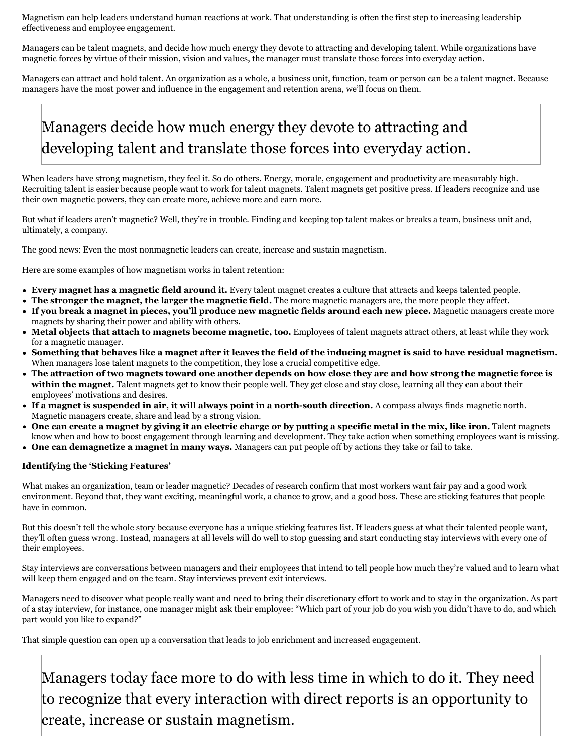Magnetism can help leaders understand human reactions at work. That understanding is often the first step to increasing leadership effectiveness and employee engagement.

Managers can be talent magnets, and decide how much energy they devote to attracting and developing talent. While organizations have magnetic forces by virtue of their mission, vision and values, the manager must translate those forces into everyday action.

Managers can attract and hold talent. An organization as a whole, a business unit, function, team or person can be a talent magnet. Because managers have the most power and influence in the engagement and retention arena, we'll focus on them.

# Managers decide how much energy they devote to attracting and developing talent and translate those forces into everyday action.

When leaders have strong magnetism, they feel it. So do others. Energy, morale, engagement and productivity are measurably high. Recruiting talent is easier because people want to work for talent magnets. Talent magnets get positive press. If leaders recognize and use their own magnetic powers, they can create more, achieve more and earn more.

But what if leaders aren't magnetic? Well, they're in trouble. Finding and keeping top talent makes or breaks a team, business unit and, ultimately, a company.

The good news: Even the most nonmagnetic leaders can create, increase and sustain magnetism.

Here are some examples of how magnetism works in talent retention:

- Every magnet has a magnetic field around it. Every talent magnet creates a culture that attracts and keeps talented people.
- The stronger the magnet, the larger the magnetic field. The more magnetic managers are, the more people they affect.
- If you break a magnet in pieces, you'll produce new magnetic fields around each new piece. Magnetic managers create more magnets by sharing their power and ability with others.
- Metal objects that attach to magnets become magnetic, too. Employees of talent magnets attract others, at least while they work for a magnetic manager.
- Something that behaves like a magnet after it leaves the field of the inducing magnet is said to have residual magnetism. When managers lose talent magnets to the competition, they lose a crucial competitive edge.
- The attraction of two magnets toward one another depends on how close they are and how strong the magnetic force is within the magnet. Talent magnets get to know their people well. They get close and stay close, learning all they can about their employees' motivations and desires.
- If a magnet is suspended in air, it will always point in a north-south direction. A compass always finds magnetic north. Magnetic managers create, share and lead by a strong vision.
- One can create a magnet by giving it an electric charge or by putting a specific metal in the mix, like iron. Talent magnets know when and how to boost engagement through learning and development. They take action when something employees want is missing.
- One can demagnetize a magnet in many ways. Managers can put people off by actions they take or fail to take.

#### Identifying the 'Sticking Features'

What makes an organization, team or leader magnetic? Decades of research confirm that most workers want fair pay and a good work environment. Beyond that, they want exciting, meaningful work, a chance to grow, and a good boss. These are sticking features that people have in common.

But this doesn't tell the whole story because everyone has a unique sticking features list. If leaders guess at what their talented people want, they'll often guess wrong. Instead, managers at all levels will do well to stop guessing and start conducting stay interviews with every one of their employees.

Stay interviews are conversations between managers and their employees that intend to tell people how much they're valued and to learn what will keep them engaged and on the team. Stay interviews prevent exit interviews.

Managers need to discover what people really want and need to bring their discretionary effort to work and to stay in the organization. As part of a stay interview, for instance, one manager might ask their employee: "Which part of your job do you wish you didn't have to do, and which part would you like to expand?"

That simple question can open up a conversation that leads to job enrichment and increased engagement.

Managers today face more to do with less time in which to do it. They need to recognize that every interaction with direct reports is an opportunity to create, increase or sustain magnetism.